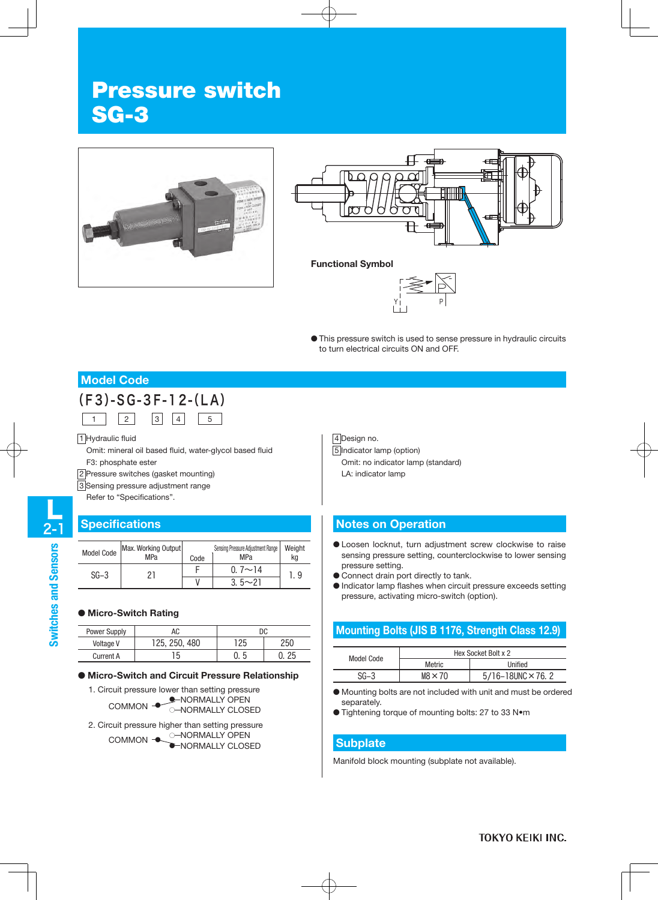# Pressure switch SG-3





#### **Functional Symbol**



● This pressure switch is used to sense pressure in hydraulic circuits to turn electrical circuits ON and OFF.

# **Model Code**



1 Hydraulic fluid

Omit: mineral oil based fluid, water-glycol based fluid F3: phosphate ester

2 Pressure switches (gasket mounting)

3 Sensing pressure adjustment range

Refer to "Specifications".

## **Specifications**

| <b>Model Code</b> | Max. Working Output<br>MPa | Code | Sensing Pressure Adjustment Range<br>MPa | Weight<br>ka |
|-------------------|----------------------------|------|------------------------------------------|--------------|
| $SG-3$            | ד רי                       |      | $0.7 \sim 14$                            | i. 9         |
|                   |                            |      | $3.5 - 21$                               |              |

#### ● **Micro-Switch Rating**

| Power Supply     | АC            | DC. |     |
|------------------|---------------|-----|-----|
| Voltage V        | 125, 250, 480 | 125 | 250 |
| <b>Current A</b> | '5            |     | つに  |

#### ● **Micro-Switch and Circuit Pressure Relationship**

- 1. Circuit pressure lower than setting pressure NORMALLY OPEN COMMON 
SUBSERIES COMMON<br>
COMMON

COMMON

COMMON ○
- 2. Circuit pressure higher than setting pressure NORMALLY OPEN NORMALLY CLOSED COMMON ● ● ー<br>一

4 Design no. 5 Indicator lamp (option) Omit: no indicator lamp (standard) LA: indicator lamp

## **Notes on Operation**

- Loosen locknut, turn adjustment screw clockwise to raise sensing pressure setting, counterclockwise to lower sensing pressure setting.
- Connect drain port directly to tank.
- Indicator lamp flashes when circuit pressure exceeds setting pressure, activating micro-switch (option).

## **Mounting Bolts (JIS B 1176, Strength Class 12.9)**

| Model Code | Hex Socket Bolt x 2 |                                |  |
|------------|---------------------|--------------------------------|--|
|            | Metric              | Unified                        |  |
| SG-3       | $MS \times 70$      | $5/16 - 18$ UNC $\times$ 76. 2 |  |

● Mounting bolts are not included with unit and must be ordered separately.

● Tightening torque of mounting bolts: 27 to 33 N•m

#### **Subplate**

Manifold block mounting (subplate not available).